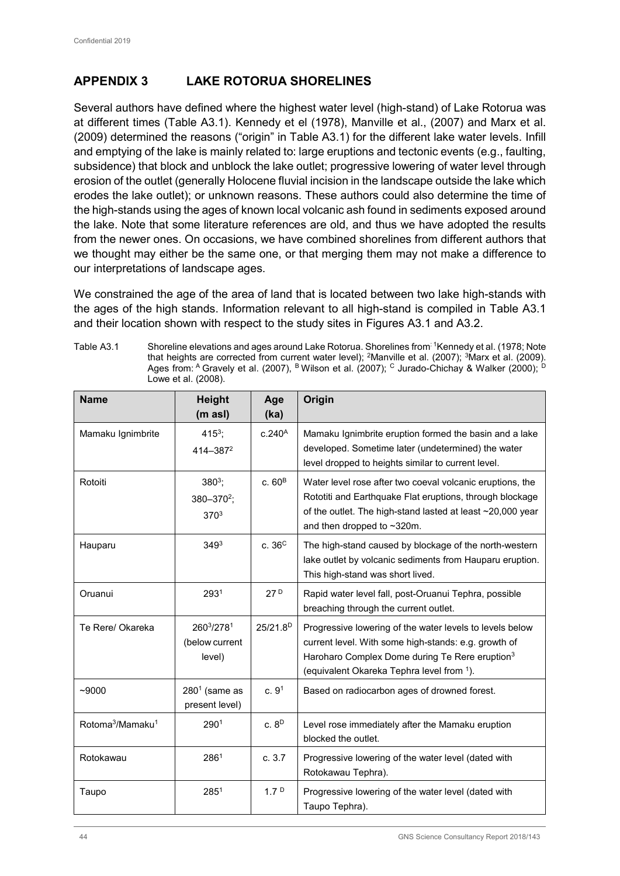## **APPENDIX 3 LAKE ROTORUA SHORELINES**

Several authors have defined where the highest water level (high-stand) of Lake Rotorua was at different times [\(Table A3.1\)](#page-0-0). Kennedy et el (1978), Manville et al., (2007) and Marx et al. (2009) determined the reasons ("origin" in [Table A3.1\)](#page-0-0) for the different lake water levels. Infill and emptying of the lake is mainly related to: large eruptions and tectonic events (e.g., faulting, subsidence) that block and unblock the lake outlet; progressive lowering of water level through erosion of the outlet (generally Holocene fluvial incision in the landscape outside the lake which erodes the lake outlet); or unknown reasons. These authors could also determine the time of the high-stands using the ages of known local volcanic ash found in sediments exposed around the lake. Note that some literature references are old, and thus we have adopted the results from the newer ones. On occasions, we have combined shorelines from different authors that we thought may either be the same one, or that merging them may not make a difference to our interpretations of landscape ages.

We constrained the age of the area of land that is located between two lake high-stands with the ages of the high stands. Information relevant to all high-stand is compiled in [Table A3.1](#page-0-0) and their location shown with respect to the study sites in [Figures A3.1](#page-1-0) and [A3.2.](#page-2-0)

<span id="page-0-0"></span>Table A3.1 Shoreline elevations and ages around Lake Rotorua. Shorelines from <sup>1</sup>Kennedy et al. (1978; Note that heights are corrected from current water level); <sup>2</sup>Manville et al. (2007); <sup>3</sup>Marx et al. (2009). Ages from:  $^{\rm A}$  Gravely et al. (2007),  $^{\rm B}$  Wilson et al. (2007);  $^{\rm C}$  Jurado-Chichay & Walker (2000);  $^{\rm D}$ Lowe et al. (2008).

| <b>Name</b>                              | <b>Height</b><br>(m asl)                                | Age<br>(ka)        | Origin                                                                                                                                                                                                                      |
|------------------------------------------|---------------------------------------------------------|--------------------|-----------------------------------------------------------------------------------------------------------------------------------------------------------------------------------------------------------------------------|
| Mamaku Ignimbrite                        | $415^3$ ;<br>414-3872                                   | c.240 <sup>A</sup> | Mamaku Ignimbrite eruption formed the basin and a lake<br>developed. Sometime later (undetermined) the water<br>level dropped to heights similar to current level.                                                          |
| Rotoiti                                  | $380^3$ ;<br>380-370 <sup>2</sup> ;<br>370 <sup>3</sup> | c. $60B$           | Water level rose after two coeval volcanic eruptions, the<br>Rototiti and Earthquake Flat eruptions, through blockage<br>of the outlet. The high-stand lasted at least ~20,000 year<br>and then dropped to ~320m.           |
| Hauparu                                  | 349 <sup>3</sup>                                        | c. $36^{\circ}$    | The high-stand caused by blockage of the north-western<br>lake outlet by volcanic sediments from Hauparu eruption.<br>This high-stand was short lived.                                                                      |
| Oruanui                                  | 2931                                                    | 27 <sup>D</sup>    | Rapid water level fall, post-Oruanui Tephra, possible<br>breaching through the current outlet.                                                                                                                              |
| Te Rere/ Okareka                         | 2603/2781<br>(below current<br>level)                   | $25/21.8^{D}$      | Progressive lowering of the water levels to levels below<br>current level. With some high-stands: e.g. growth of<br>Haroharo Complex Dome during Te Rere eruption <sup>3</sup><br>(equivalent Okareka Tephra level from 1). |
| $-9000$                                  | $2801$ (same as<br>present level)                       | c.9 <sup>1</sup>   | Based on radiocarbon ages of drowned forest.                                                                                                                                                                                |
| Rotoma <sup>3</sup> /Mamaku <sup>1</sup> | 2901                                                    | c.8 <sup>D</sup>   | Level rose immediately after the Mamaku eruption<br>blocked the outlet.                                                                                                                                                     |
| Rotokawau                                | 2861                                                    | c.3.7              | Progressive lowering of the water level (dated with<br>Rotokawau Tephra).                                                                                                                                                   |
| Taupo                                    | 285 <sup>1</sup>                                        | 1.7 <sup>D</sup>   | Progressive lowering of the water level (dated with<br>Taupo Tephra).                                                                                                                                                       |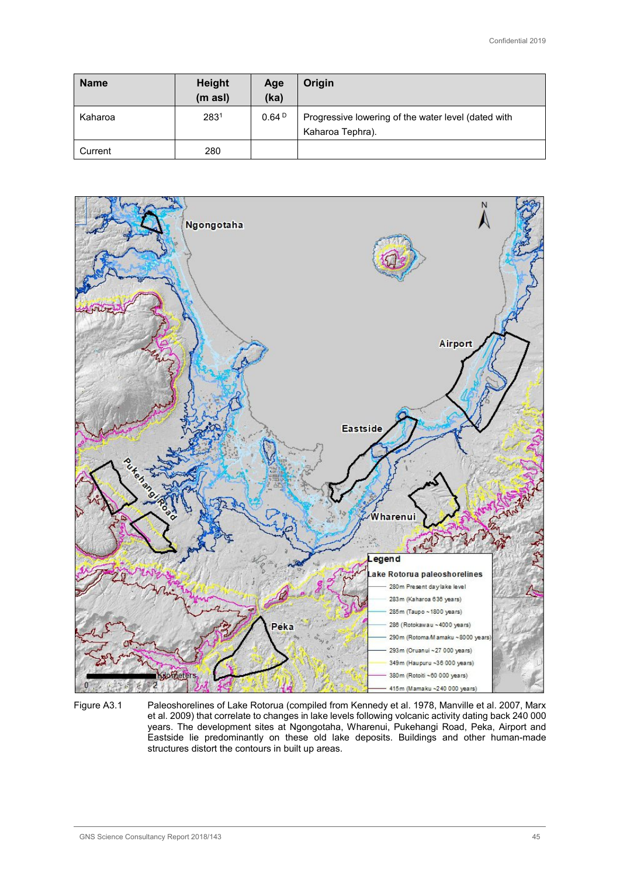| <b>Name</b> | <b>Height</b><br>(m asl) | Age<br>(ka) | Origin                                                                  |
|-------------|--------------------------|-------------|-------------------------------------------------------------------------|
| Kaharoa     | 2831                     | 0.64P       | Progressive lowering of the water level (dated with<br>Kaharoa Tephra). |
| Current     | 280                      |             |                                                                         |



<span id="page-1-0"></span>Figure A3.1 Paleoshorelines of Lake Rotorua (compiled from Kennedy et al. 1978, Manville et al. 2007, Marx et al. 2009) that correlate to changes in lake levels following volcanic activity dating back 240 000 years. The development sites at Ngongotaha, Wharenui, Pukehangi Road, Peka, Airport and Eastside lie predominantly on these old lake deposits. Buildings and other human-made structures distort the contours in built up areas.